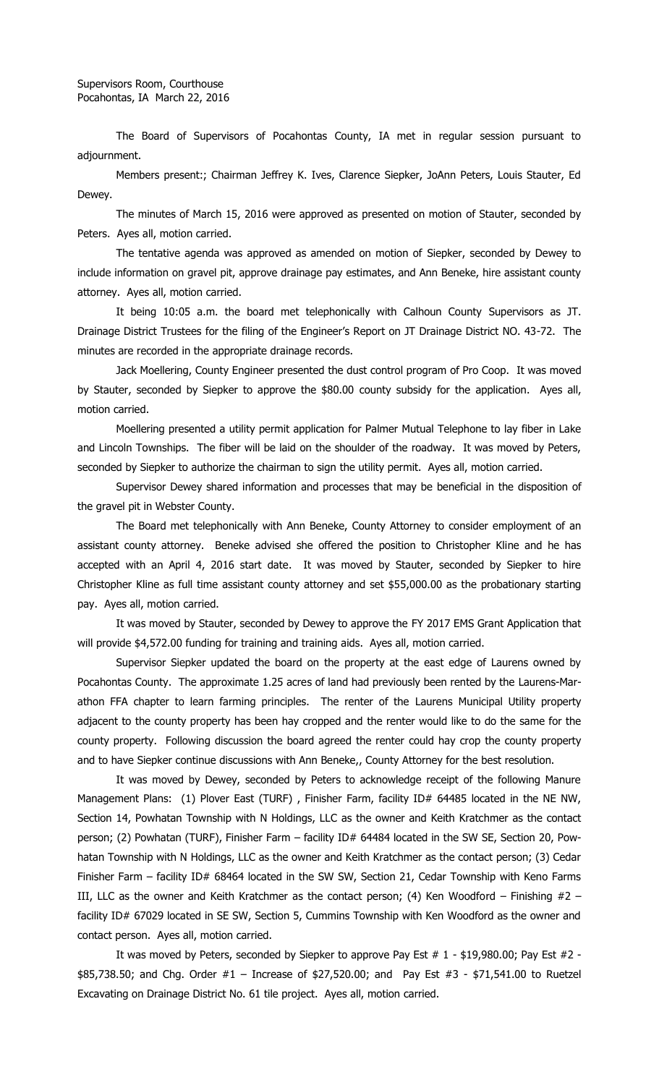The Board of Supervisors of Pocahontas County, IA met in regular session pursuant to adjournment.

Members present:; Chairman Jeffrey K. Ives, Clarence Siepker, JoAnn Peters, Louis Stauter, Ed Dewey.

The minutes of March 15, 2016 were approved as presented on motion of Stauter, seconded by Peters. Ayes all, motion carried.

The tentative agenda was approved as amended on motion of Siepker, seconded by Dewey to include information on gravel pit, approve drainage pay estimates, and Ann Beneke, hire assistant county attorney. Ayes all, motion carried.

It being 10:05 a.m. the board met telephonically with Calhoun County Supervisors as JT. Drainage District Trustees for the filing of the Engineer's Report on JT Drainage District NO. 43-72. The minutes are recorded in the appropriate drainage records.

Jack Moellering, County Engineer presented the dust control program of Pro Coop. It was moved by Stauter, seconded by Siepker to approve the \$80.00 county subsidy for the application. Ayes all, motion carried.

Moellering presented a utility permit application for Palmer Mutual Telephone to lay fiber in Lake and Lincoln Townships. The fiber will be laid on the shoulder of the roadway. It was moved by Peters, seconded by Siepker to authorize the chairman to sign the utility permit. Ayes all, motion carried.

Supervisor Dewey shared information and processes that may be beneficial in the disposition of the gravel pit in Webster County.

The Board met telephonically with Ann Beneke, County Attorney to consider employment of an assistant county attorney. Beneke advised she offered the position to Christopher Kline and he has accepted with an April 4, 2016 start date. It was moved by Stauter, seconded by Siepker to hire Christopher Kline as full time assistant county attorney and set \$55,000.00 as the probationary starting pay. Ayes all, motion carried.

It was moved by Stauter, seconded by Dewey to approve the FY 2017 EMS Grant Application that will provide \$4,572.00 funding for training and training aids. Ayes all, motion carried.

Supervisor Siepker updated the board on the property at the east edge of Laurens owned by Pocahontas County. The approximate 1.25 acres of land had previously been rented by the Laurens-Marathon FFA chapter to learn farming principles. The renter of the Laurens Municipal Utility property adjacent to the county property has been hay cropped and the renter would like to do the same for the county property. Following discussion the board agreed the renter could hay crop the county property and to have Siepker continue discussions with Ann Beneke,, County Attorney for the best resolution.

It was moved by Dewey, seconded by Peters to acknowledge receipt of the following Manure Management Plans: (1) Plover East (TURF), Finisher Farm, facility ID# 64485 located in the NE NW, Section 14, Powhatan Township with N Holdings, LLC as the owner and Keith Kratchmer as the contact person; (2) Powhatan (TURF), Finisher Farm - facility ID# 64484 located in the SW SE, Section 20, Powhatan Township with N Holdings, LLC as the owner and Keith Kratchmer as the contact person; (3) Cedar Finisher Farm – facility ID# 68464 located in the SW SW, Section 21, Cedar Township with Keno Farms III, LLC as the owner and Keith Kratchmer as the contact person; (4) Ken Woodford – Finishing  $#2$  – facility ID# 67029 located in SE SW, Section 5, Cummins Township with Ken Woodford as the owner and contact person. Ayes all, motion carried.

It was moved by Peters, seconded by Siepker to approve Pay Est  $# 1 - $19,980.00$ ; Pay Est  $#2 -$ \$85,738.50; and Chg. Order #1 – Increase of \$27,520.00; and Pay Est #3 - \$71,541.00 to Ruetzel Excavating on Drainage District No. 61 tile project. Ayes all, motion carried.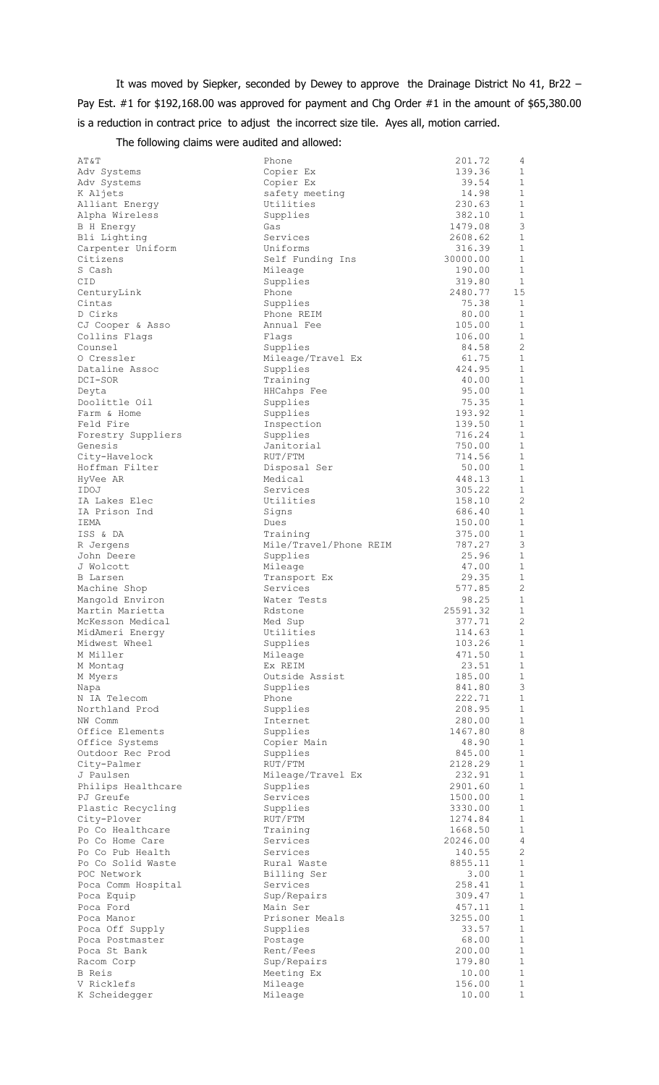It was moved by Siepker, seconded by Dewey to approve the Drainage District No 41, Br22 – Pay Est. #1 for \$192,168.00 was approved for payment and Chg Order #1 in the amount of \$65,380.00 is a reduction in contract price to adjust the incorrect size tile. Ayes all, motion carried.

The following claims were audited and allowed:

| AT&T                               |
|------------------------------------|
| Adv Systems                        |
| Adv Systems                        |
| K Aljets<br>Alliant Energy         |
| Alpha Wireless                     |
| <b>B</b> H Energy                  |
| Bli Lighting                       |
| Carpenter Uniform                  |
| Citizens                           |
| S Cash                             |
| CID                                |
| CenturyLink<br>Cintas              |
| D Cirks                            |
| CJ Cooper & Asso                   |
| Collins Flags                      |
| Counsel                            |
| O Cressler                         |
| Dataline Assoc                     |
| DCI-SOR                            |
| Deyta<br>Doolittle Oil             |
| Farm & Home                        |
| Feld Fire                          |
| Forestry Suppliers                 |
| Genesis                            |
| City-Havelock                      |
| Hoffman Filter                     |
| HyVee AR                           |
| IDOJ                               |
| IA Lakes Elec                      |
| IA Prison Ind                      |
| IEMA<br>ISS & DA                   |
| R Jergens                          |
| John Deere                         |
|                                    |
| J Wolcott<br>B Larsen              |
| Machine Shop                       |
| Mangold Environ                    |
| Martin Marietta                    |
| McKesson Medical                   |
| MidAmeri Energy                    |
| Midwest Wheel<br>M Miller          |
| M Montag                           |
| M Myers                            |
| Napa                               |
| N IA Telecom                       |
| Northland Prod                     |
| NW Comm                            |
| Office Elements                    |
| Office Systems                     |
| Outdoor Rec Prod<br>City-Palmer    |
| J Paulsen                          |
| Philips Healthcare                 |
| PJ Greufe                          |
| Plastic Recycling                  |
| City-Plover                        |
| Po Co Healthcare                   |
| Po Co Home Care                    |
| Po Co Pub Health                   |
| Po Co Solid Waste                  |
| POC Network                        |
| Poca Comm Hospital                 |
| Poca Equip<br>Poca Ford            |
| Poca Manor                         |
|                                    |
| Poca Off Supply<br>Poca Postmaster |
| Poca St Bank                       |
| Racom Corp                         |
| <b>B</b> Reis                      |
| V Ricklefs<br>K Scheideager        |
|                                    |

| AT&T                                | Phone                              | 201.72            | 4                            |
|-------------------------------------|------------------------------------|-------------------|------------------------------|
| Adv Systems                         | Copier Ex                          | 139.36            | 1                            |
| Adv Systems<br>K Aljets             | Copier Ex                          | 39.54             | $\mathbf{1}$<br>$\mathbf{1}$ |
| Alliant Energy                      | safety meeting<br>Utilities        | 14.98<br>230.63   | $\mathbf 1$                  |
| Alpha Wireless                      | Supplies                           | 382.10            | $\mathbf{1}$                 |
| B H Energy                          | Gas                                | 1479.08           | 3                            |
| Bli Lighting                        | Services                           | 2608.62           | $\mathbf{1}$                 |
| Carpenter Uniform                   | Uniforms                           | 316.39            | $\mathbf{1}$                 |
| Citizens                            | Self Funding Ins                   | 30000.00          | $\mathbf{1}$                 |
| S Cash                              | Mileage                            | 190.00            | $\mathbf{1}$                 |
| CID                                 | Supplies                           | 319.80            | 1                            |
| CenturyLink<br>Cintas               | Phone                              | 2480.77<br>75.38  | 15<br>1                      |
| D Cirks                             | Supplies<br>Phone REIM             | 80.00             | 1                            |
| CJ Cooper & Asso                    | Annual Fee                         | 105.00            | $\mathbf{1}$                 |
| Collins Flags                       | Flags                              | 106.00            | $\mathbf{1}$                 |
| Counsel                             | Supplies                           | 84.58             | 2                            |
| 0 Cressler                          | Mileage/Travel Ex                  | 61.75             | 1                            |
| Dataline Assoc                      | Supplies                           | 424.95            | $\mathbf{1}$                 |
| DCI-SOR                             | Training                           | 40.00             | $\mathbf{1}$                 |
| Deyta                               | HHCahps Fee                        | 95.00             | $\mathbf{1}$                 |
| Doolittle Oil                       | Supplies                           | 75.35             | $\mathbf{1}$                 |
| Farm & Home<br>Feld Fire            | Supplies<br>Inspection             | 193.92<br>139.50  | $\mathbf{1}$<br>$\mathbf{1}$ |
| Forestry Suppliers                  | Supplies                           | 716.24            | $\mathbf{1}$                 |
| Genesis                             | Janitorial                         | 750.00            | $\mathbf{1}$                 |
| City-Havelock                       | RUT/FTM                            | 714.56            | 1                            |
| Hoffman Filter                      | Disposal Ser                       | 50.00             | 1                            |
| HyVee AR                            | Medical                            | 448.13            | $\mathbf{1}$                 |
| IDOJ                                | Services                           | 305.22            | 1                            |
| IA Lakes Elec                       | Utilities                          | 158.10            | 2                            |
| IA Prison Ind                       | Signs                              | 686.40            | $\mathbf{1}$                 |
| IEMA                                | Dues                               | 150.00            | 1                            |
| ISS & DA<br>R Jergens               | Training<br>Mile/Travel/Phone REIM | 375.00<br>787.27  | $\mathbf 1$<br>3             |
| John Deere                          | Supplies                           | 25.96             | $\mathbf{1}$                 |
| J Wolcott                           | Mileage                            | 47.00             | 1                            |
| B Larsen                            | Transport Ex                       | 29.35             | 1                            |
| Machine Shop                        | Services                           | 577.85            | 2                            |
| Mangold Environ                     | Water Tests                        | 98.25             | 1                            |
| Martin Marietta                     | Rdstone                            | 25591.32          | $\mathbf{1}$                 |
| McKesson Medical                    | Med Sup                            | 377.71            | 2                            |
| MidAmeri Energy                     | Utilities<br>Supplies              | 114.63<br>103.26  | $\mathbf{1}$                 |
| Midwest Wheel<br>M Miller           | Mileage                            | 471.50            | 1<br>$\mathbf{1}$            |
| M Montag                            | Ex REIM                            | 23.51             | $\mathbf{1}$                 |
| M Myers                             | Outside Assist                     | 185.00            | $\mathbf{1}$                 |
| Napa                                | Supplies                           | 841.80            | 3                            |
| N IA Telecom                        | Phone                              | 222.71            | $\mathbf{1}$                 |
| Northland Prod                      | Supplies                           | 208.95            | $\mathbf{1}$                 |
| NW Comm                             | Internet                           | 280.00            | $\mathbf{1}$                 |
| Office Elements                     | Supplies                           | 1467.80           | 8                            |
| Office Systems<br>Outdoor Rec Prod  | Copier Main<br>Supplies            | 48.90<br>845.00   | $\mathbf{1}$<br>$\mathbf{1}$ |
| City-Palmer                         | RUT/FTM                            | 2128.29           | $\mathbf 1$                  |
| J Paulsen                           | Mileage/Travel Ex                  | 232.91            | $\mathbf{1}$                 |
| Philips Healthcare                  | Supplies                           | 2901.60           | $\mathbf{1}$                 |
| PJ Greufe                           | Services                           | 1500.00           | $\mathbf{1}$                 |
| Plastic Recycling                   | Supplies                           | 3330.00           | $\mathbf{1}$                 |
| City-Plover                         | RUT/FTM                            | 1274.84           | $\mathbf{1}$                 |
| Po Co Healthcare                    | Training                           | 1668.50           | $\mathbf{1}$                 |
| Po Co Home Care<br>Po Co Pub Health | Services<br>Services               | 20246.00          | $\overline{4}$<br>2          |
| Po Co Solid Waste                   | Rural Waste                        | 140.55<br>8855.11 | $\mathbf{1}$                 |
| POC Network                         | Billing Ser                        | 3.00              | $\mathbf{1}$                 |
| Poca Comm Hospital                  | Services                           | 258.41            | $\mathbf{1}$                 |
| Poca Equip                          | Sup/Repairs                        | 309.47            | $\mathbf{1}$                 |
| Poca Ford                           | Main Ser                           | 457.11            | $\mathbf{1}$                 |
| Poca Manor                          | Prisoner Meals                     | 3255.00           | $\mathbf{1}$                 |
| Poca Off Supply                     | Supplies                           | 33.57             | $\mathbf{1}$                 |
| Poca Postmaster                     | Postage                            | 68.00             | $\mathbf{1}$                 |
| Poca St Bank                        | Rent/Fees                          | 200.00            | $\mathbf{1}$                 |
| Racom Corp<br>B Reis                | Sup/Repairs<br>Meeting Ex          | 179.80<br>10.00   | 1<br>$\mathbf{1}$            |
| V Ricklefs                          | Mileage                            | 156.00            | $\mathbf 1$                  |
| K Scheidegger                       | Mileage                            | 10.00             | $\mathbf{1}$                 |
|                                     |                                    |                   |                              |